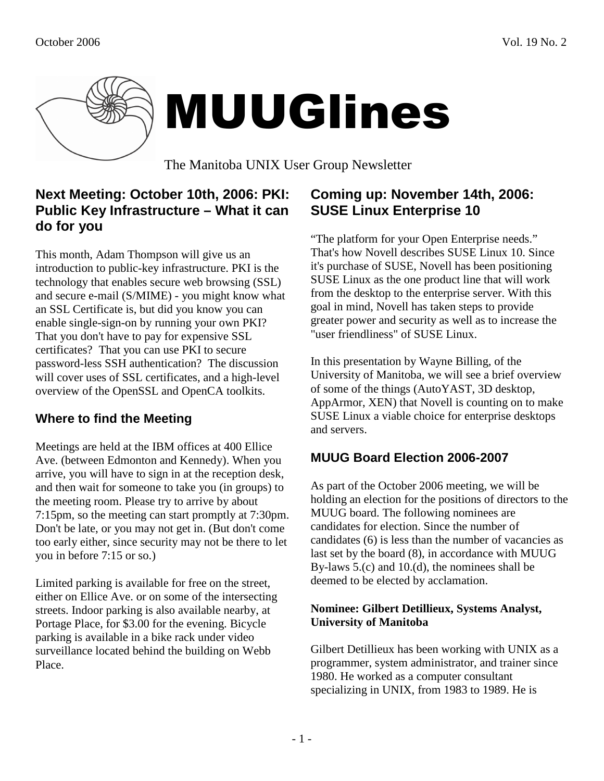

# MUUGlines

The Manitoba UNIX User Group Newsletter

# **Next Meeting: October 10th, 2006: PKI: Public Key Infrastructure – What it can do for you**

This month, Adam Thompson will give us an introduction to public-key infrastructure. PKI is the technology that enables secure web browsing (SSL) and secure e-mail (S/MIME) - you might know what an SSL Certificate is, but did you know you can enable single-sign-on by running your own PKI? That you don't have to pay for expensive SSL certificates? That you can use PKI to secure password-less SSH authentication? The discussion will cover uses of SSL certificates, and a high-level overview of the OpenSSL and OpenCA toolkits.

# **Where to find the Meeting**

Meetings are held at the IBM offices at 400 Ellice Ave. (between Edmonton and Kennedy). When you arrive, you will have to sign in at the reception desk, and then wait for someone to take you (in groups) to the meeting room. Please try to arrive by about 7:15pm, so the meeting can start promptly at 7:30pm. Don't be late, or you may not get in. (But don't come too early either, since security may not be there to let you in before 7:15 or so.)

Limited parking is available for free on the street, either on Ellice Ave. or on some of the intersecting streets. Indoor parking is also available nearby, at Portage Place, for \$3.00 for the evening. Bicycle parking is available in a bike rack under video surveillance located behind the building on Webb Place.

# **Coming up: November 14th, 2006: SUSE Linux Enterprise 10**

"The platform for your Open Enterprise needs." That's how Novell describes SUSE Linux 10. Since it's purchase of SUSE, Novell has been positioning SUSE Linux as the one product line that will work from the desktop to the enterprise server. With this goal in mind, Novell has taken steps to provide greater power and security as well as to increase the "user friendliness" of SUSE Linux.

In this presentation by Wayne Billing, of the University of Manitoba, we will see a brief overview of some of the things (AutoYAST, 3D desktop, AppArmor, XEN) that Novell is counting on to make SUSE Linux a viable choice for enterprise desktops and servers.

## **MUUG Board Election 2006-2007**

As part of the October 2006 meeting, we will be holding an election for the positions of directors to the MUUG board. The following nominees are candidates for election. Since the number of candidates (6) is less than the number of vacancies as last set by the board (8), in accordance with MUUG By-laws 5.(c) and 10.(d), the nominees shall be deemed to be elected by acclamation.

#### **Nominee: Gilbert Detillieux, Systems Analyst, University of Manitoba**

Gilbert Detillieux has been working with UNIX as a programmer, system administrator, and trainer since 1980. He worked as a computer consultant specializing in UNIX, from 1983 to 1989. He is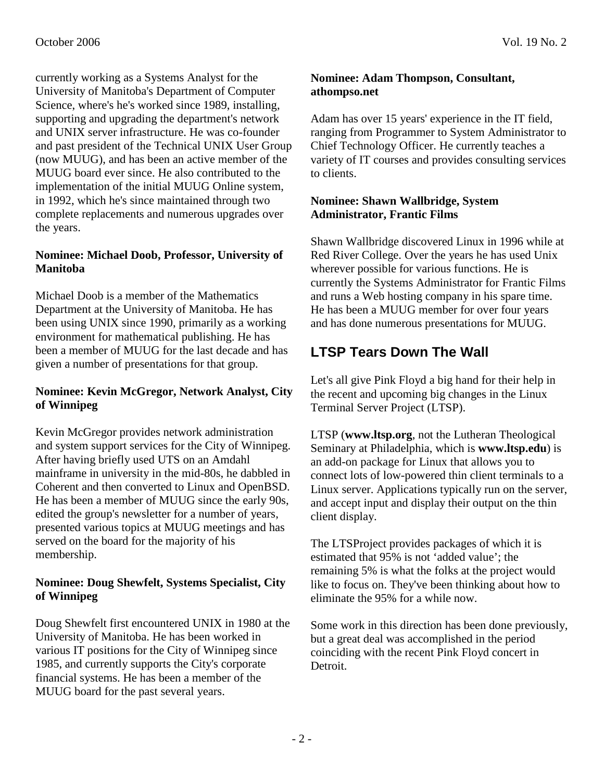currently working as a Systems Analyst for the University of Manitoba's Department of Computer Science, where's he's worked since 1989, installing, supporting and upgrading the department's network and UNIX server infrastructure. He was co-founder and past president of the Technical UNIX User Group (now MUUG), and has been an active member of the MUUG board ever since. He also contributed to the implementation of the initial MUUG Online system, in 1992, which he's since maintained through two complete replacements and numerous upgrades over the years.

#### **Nominee: Michael Doob, Professor, University of Manitoba**

Michael Doob is a member of the Mathematics Department at the University of Manitoba. He has been using UNIX since 1990, primarily as a working environment for mathematical publishing. He has been a member of MUUG for the last decade and has given a number of presentations for that group.

#### **Nominee: Kevin McGregor, Network Analyst, City of Winnipeg**

Kevin McGregor provides network administration and system support services for the City of Winnipeg. After having briefly used UTS on an Amdahl mainframe in university in the mid-80s, he dabbled in Coherent and then converted to Linux and OpenBSD. He has been a member of MUUG since the early 90s, edited the group's newsletter for a number of years, presented various topics at MUUG meetings and has served on the board for the majority of his membership.

#### **Nominee: Doug Shewfelt, Systems Specialist, City of Winnipeg**

Doug Shewfelt first encountered UNIX in 1980 at the University of Manitoba. He has been worked in various IT positions for the City of Winnipeg since 1985, and currently supports the City's corporate financial systems. He has been a member of the MUUG board for the past several years.

#### **Nominee: Adam Thompson, Consultant, athompso.net**

Adam has over 15 years' experience in the IT field, ranging from Programmer to System Administrator to Chief Technology Officer. He currently teaches a variety of IT courses and provides consulting services to clients.

#### **Nominee: Shawn Wallbridge, System Administrator, Frantic Films**

Shawn Wallbridge discovered Linux in 1996 while at Red River College. Over the years he has used Unix wherever possible for various functions. He is currently the Systems Administrator for Frantic Films and runs a Web hosting company in his spare time. He has been a MUUG member for over four years and has done numerous presentations for MUUG.

# **LTSP Tears Down The Wall**

Let's all give Pink Floyd a big hand for their help in the recent and upcoming big changes in the Linux Terminal Server Project (LTSP).

LTSP (**www.ltsp.org**, not the Lutheran Theological Seminary at Philadelphia, which is **www.ltsp.edu**) is an add-on package for Linux that allows you to connect lots of low-powered thin client terminals to a Linux server. Applications typically run on the server, and accept input and display their output on the thin client display.

The LTSProject provides packages of which it is estimated that 95% is not 'added value'; the remaining 5% is what the folks at the project would like to focus on. They've been thinking about how to eliminate the 95% for a while now.

Some work in this direction has been done previously, but a great deal was accomplished in the period coinciding with the recent Pink Floyd concert in Detroit.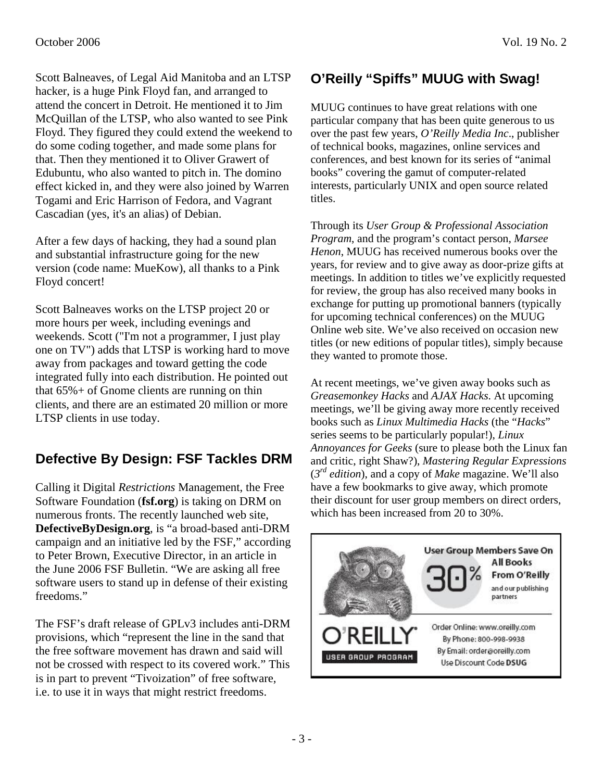Scott Balneaves, of Legal Aid Manitoba and an LTSP hacker, is a huge Pink Floyd fan, and arranged to attend the concert in Detroit. He mentioned it to Jim McQuillan of the LTSP, who also wanted to see Pink Floyd. They figured they could extend the weekend to do some coding together, and made some plans for that. Then they mentioned it to Oliver Grawert of Edubuntu, who also wanted to pitch in. The domino effect kicked in, and they were also joined by Warren Togami and Eric Harrison of Fedora, and Vagrant Cascadian (yes, it's an alias) of Debian.

After a few days of hacking, they had a sound plan and substantial infrastructure going for the new version (code name: MueKow), all thanks to a Pink Floyd concert!

Scott Balneaves works on the LTSP project 20 or more hours per week, including evenings and weekends. Scott ("I'm not a programmer, I just play one on TV") adds that LTSP is working hard to move away from packages and toward getting the code integrated fully into each distribution. He pointed out that 65%+ of Gnome clients are running on thin clients, and there are an estimated 20 million or more LTSP clients in use today.

# **Defective By Design: FSF Tackles DRM**

Calling it Digital *Restrictions* Management, the Free Software Foundation (**fsf.org**) is taking on DRM on numerous fronts. The recently launched web site, **DefectiveByDesign.org**, is "a broad-based anti-DRM campaign and an initiative led by the FSF," according to Peter Brown, Executive Director, in an article in the June 2006 FSF Bulletin. "We are asking all free software users to stand up in defense of their existing freedoms."

The FSF's draft release of GPLv3 includes anti-DRM provisions, which "represent the line in the sand that the free software movement has drawn and said will not be crossed with respect to its covered work." This is in part to prevent "Tivoization" of free software, i.e. to use it in ways that might restrict freedoms.

# **O'Reilly "Spiffs" MUUG with Swag!**

MUUG continues to have great relations with one particular company that has been quite generous to us over the past few years, *O'Reilly Media Inc*., publisher of technical books, magazines, online services and conferences, and best known for its series of "animal books" covering the gamut of computer-related interests, particularly UNIX and open source related titles.

Through its *User Group & Professional Association Program*, and the program's contact person, *Marsee Henon*, MUUG has received numerous books over the years, for review and to give away as door-prize gifts at meetings. In addition to titles we've explicitly requested for review, the group has also received many books in exchange for putting up promotional banners (typically for upcoming technical conferences) on the MUUG Online web site. We've also received on occasion new titles (or new editions of popular titles), simply because they wanted to promote those.

At recent meetings, we've given away books such as *Greasemonkey Hacks* and *AJAX Hacks*. At upcoming meetings, we'll be giving away more recently received books such as *Linux Multimedia Hacks* (the "*Hacks*" series seems to be particularly popular!), *Linux Annoyances for Geeks* (sure to please both the Linux fan and critic, right Shaw?), *Mastering Regular Expressions* (*3 rd edition*), and a copy of *Make* magazine. We'll also have a few bookmarks to give away, which promote their discount for user group members on direct orders, which has been increased from 20 to 30%.